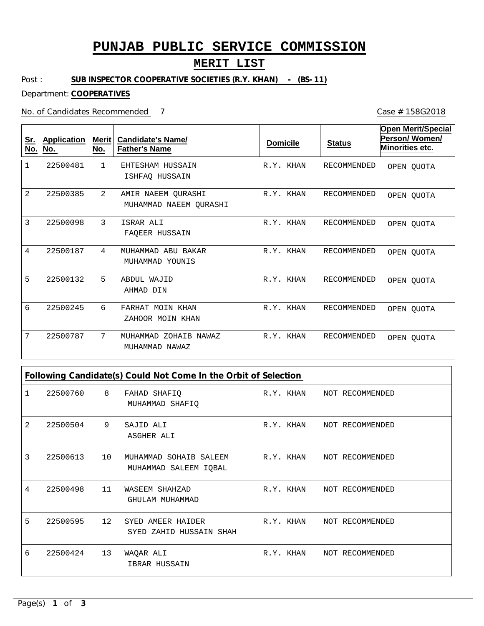# **PUNJAB PUBLIC SERVICE COMMISSION**

### **MERIT LIST**

Post : **SUB INSPECTOR COOPERATIVE SOCIETIES (R.Y. KHAN) - (BS-11)**

Department: **COOPERATIVES**

No. of Candidates Recommended

1 2 3 4 5 6 7 EHTESHAM HUSSAIN AMIR NAEEM QURASHI ISRAR ALI MUHAMMAD ABU BAKAR ABDUL WAJID FARHAT MOIN KHAN MUHAMMAD ZOHAIB NAWAZ ISHFAQ HUSSAIN MUHAMMAD NAEEM QURASHI FAQEER HUSSAIN MUHAMMAD YOUNIS AHMAD DIN ZAHOOR MOIN KHAN MUHAMMAD NAWAZ 1 2 3 4 5 6 7 22500481 22500385 22500098 22500187 22500132 22500245 22500787 R.Y. KHAN R.Y. KHAN R.Y. KHAN R.Y. KHAN R.Y. KHAN R.Y. KHAN R.Y. KHAN RECOMMENDED RECOMMENDED RECOMMENDED RECOMMENDED RECOMMENDED RECOMMENDED RECOMMENDED **Sr. No. Application No. Merit No. Candidate's Name/ Father's Name Domicile Status Open Merit/Special Person/ Women/ Minorities etc.** OPEN QUOTA OPEN QUOTA OPEN QUOTA OPEN QUOTA OPEN QUOTA OPEN QUOTA OPEN QUOTA

**Following Candidate(s) Could Not Come In the Orbit of Selection**

|   | 22500760 | 8 <sup>8</sup> | FAHAD SHAFIQ<br>MUHAMMAD SHAFIQ                                           |           | R.Y. KHAN NOT RECOMMENDED |
|---|----------|----------------|---------------------------------------------------------------------------|-----------|---------------------------|
| 2 | 22500504 | 9              | SAJID ALI<br>ASGHER ALI                                                   |           | R.Y. KHAN NOT RECOMMENDED |
| 3 | 22500613 | 10             | MUHAMMAD SOHAIB SALEEM R.Y. KHAN NOT RECOMMENDED<br>MUHAMMAD SALEEM IQBAL |           |                           |
| 4 | 22500498 | 11             | WASEEM SHAHZAD<br>GHULAM MUHAMMAD                                         | R.Y. KHAN | NOT RECOMMENDED           |
| 5 | 22500595 | 12             | SYED AMEER HAIDER<br>SYED ZAHID HUSSAIN SHAH                              |           | R.Y. KHAN NOT RECOMMENDED |
| 6 | 22500424 | 13             | WAQAR ALI<br>IBRAR HUSSAIN                                                | R.Y. KHAN | NOT RECOMMENDED           |

Case # 158G2018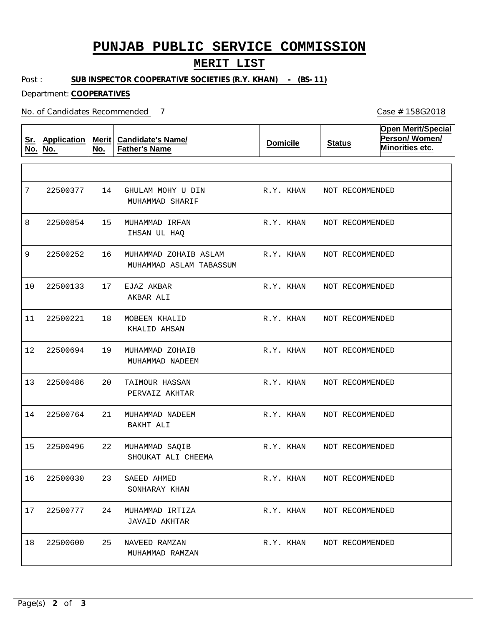# **PUNJAB PUBLIC SERVICE COMMISSION**

### **MERIT LIST**

Post : **SUB INSPECTOR COOPERATIVE SOCIETIES (R.Y. KHAN) - (BS-11)**

Department: **COOPERATIVES**

No. of Candidates Recommended

**Sr. No. Application No. Merit No. Candidate's Name/ Father's Name Domicile Status Open Merit/Special Person/ Women/ Minorities etc.** 14 15 MUHAMMAD IRFAN 16 17 18 19  $20$ 21 22 23 24 MUHAMMAD IRTIZA 25 GHULAM MOHY U DIN MUHAMMAD ZOHAIB ASLAM EJAZ AKBAR MOBEEN KHALID MUHAMMAD ZOHAIB TAIMOUR HASSAN MUHAMMAD NADEEM MUHAMMAD SAQIB SAEED AHMED NAVEED RAMZAN MUHAMMAD SHARIF IHSAN UL HAQ MUHAMMAD ASLAM TABASSUM AKBAR ALI KHALID AHSAN MUHAMMAD NADEEM PERVAIZ AKHTAR BAKHT ALI SHOUKAT ALI CHEEMA SONHARAY KHAN JAVAID AKHTAR MUHAMMAD RAMZAN 7 8 9 10 11 12 13 14 15 16 22500030 17 22500777 18 22500377 22500854 22500252 22500133 22500221 22500694 22500486 22500764 22500496 22500600 R.Y. KHAN R.Y. KHAN R.Y. KHAN R.Y. KHAN R.Y. KHAN R.Y. KHAN R.Y. KHAN R.Y. KHAN R.Y. KHAN R.Y. KHAN R.Y. KHAN R.Y. KHAN NOT RECOMMENDED NOT RECOMMENDED NOT RECOMMENDED NOT RECOMMENDED NOT RECOMMENDED NOT RECOMMENDED NOT RECOMMENDED NOT RECOMMENDED NOT RECOMMENDED NOT RECOMMENDED NOT RECOMMENDED NOT RECOMMENDED

Case # 158G2018